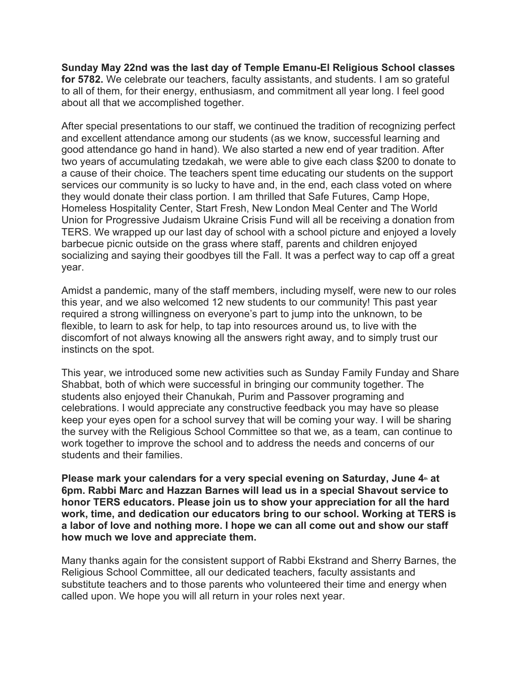**Sunday May 22nd was the last day of Temple Emanu-El Religious School classes for 5782.** We celebrate our teachers, faculty assistants, and students. I am so grateful to all of them, for their energy, enthusiasm, and commitment all year long. I feel good about all that we accomplished together.

After special presentations to our staff, we continued the tradition of recognizing perfect and excellent attendance among our students (as we know, successful learning and good attendance go hand in hand). We also started a new end of year tradition. After two years of accumulating tzedakah, we were able to give each class \$200 to donate to a cause of their choice. The teachers spent time educating our students on the support services our community is so lucky to have and, in the end, each class voted on where they would donate their class portion. I am thrilled that Safe Futures, Camp Hope, Homeless Hospitality Center, Start Fresh, New London Meal Center and The World Union for Progressive Judaism Ukraine Crisis Fund will all be receiving a donation from TERS. We wrapped up our last day of school with a school picture and enjoyed a lovely barbecue picnic outside on the grass where staff, parents and children enjoyed socializing and saying their goodbyes till the Fall. It was a perfect way to cap off a great year.

Amidst a pandemic, many of the staff members, including myself, were new to our roles this year, and we also welcomed 12 new students to our community! This past year required a strong willingness on everyone's part to jump into the unknown, to be flexible, to learn to ask for help, to tap into resources around us, to live with the discomfort of not always knowing all the answers right away, and to simply trust our instincts on the spot.

This year, we introduced some new activities such as Sunday Family Funday and Share Shabbat, both of which were successful in bringing our community together. The students also enjoyed their Chanukah, Purim and Passover programing and celebrations. I would appreciate any constructive feedback you may have so please keep your eyes open for a school survey that will be coming your way. I will be sharing the survey with the Religious School Committee so that we, as a team, can continue to work together to improve the school and to address the needs and concerns of our students and their families.

**Please mark your calendars for a very special evening on Saturday, June 4<sup>th</sup> at 6pm. Rabbi Marc and Hazzan Barnes will lead us in a special Shavout service to honor TERS educators. Please join us to show your appreciation for all the hard work, time, and dedication our educators bring to our school. Working at TERS is a labor of love and nothing more. I hope we can all come out and show our staff how much we love and appreciate them.**

Many thanks again for the consistent support of Rabbi Ekstrand and Sherry Barnes, the Religious School Committee, all our dedicated teachers, faculty assistants and substitute teachers and to those parents who volunteered their time and energy when called upon. We hope you will all return in your roles next year.